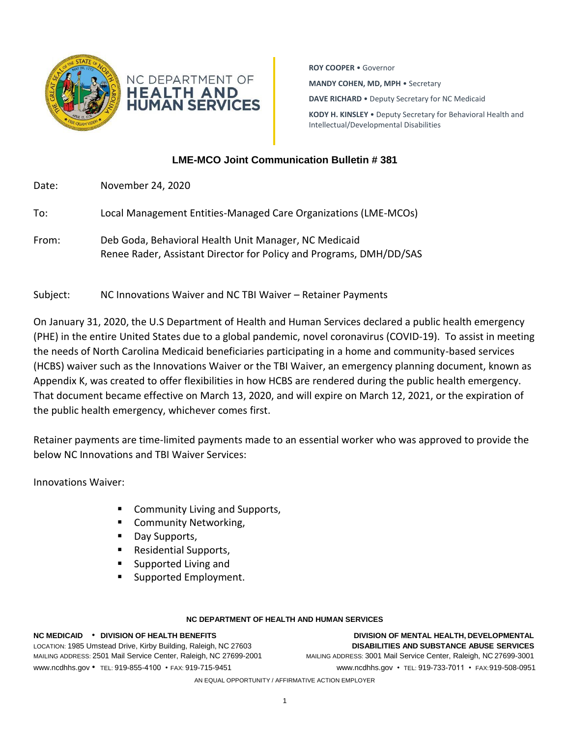

**ROY COOPER** • Governor **MANDY COHEN, MD, MPH** • Secretary **DAVE RICHARD** • Deputy Secretary for NC Medicaid **KODY H. KINSLEY** • Deputy Secretary for Behavioral Health and Intellectual/Developmental Disabilities

## **LME-MCO Joint Communication Bulletin # 381**

| Date: | November 24, 2020                                                                                                            |
|-------|------------------------------------------------------------------------------------------------------------------------------|
| To:   | Local Management Entities-Managed Care Organizations (LME-MCOs)                                                              |
| From: | Deb Goda, Behavioral Health Unit Manager, NC Medicaid<br>Renee Rader, Assistant Director for Policy and Programs, DMH/DD/SAS |

Subject: NC Innovations Waiver and NC TBI Waiver – Retainer Payments

On January 31, 2020, the U.S Department of Health and Human Services declared a public health emergency (PHE) in the entire United States due to a global pandemic, novel coronavirus (COVID-19). To assist in meeting the needs of North Carolina Medicaid beneficiaries participating in a home and community-based services (HCBS) waiver such as the Innovations Waiver or the TBI Waiver, an emergency planning document, known as Appendix K, was created to offer flexibilities in how HCBS are rendered during the public health emergency. That document became effective on March 13, 2020, and will expire on March 12, 2021, or the expiration of the public health emergency, whichever comes first.

Retainer payments are time-limited payments made to an essential worker who was approved to provide the below NC Innovations and TBI Waiver Services:

Innovations Waiver:

- Community Living and Supports,
- Community Networking,
- Day Supports,
- Residential Supports,
- Supported Living and
- Supported Employment.

## **NC DEPARTMENT OF HEALTH AND HUMAN SERVICES**

**NC MEDICAID** • **DIVISION OF HEALTH BENEFITS DIVISION OF MENTAL HEALTH, DEVELOPMENTAL** LOCATION: 1985 Umstead Drive, Kirby Building, Raleigh, NC 27603 **DISABILITIES AND SUBSTANCE ABUSE SERVICES** MAILING ADDRESS: 2501 Mail Service Center, Raleigh, NC 27699-2001 MAILING ADDRESS: 3001 Mail Service Center, Raleigh, NC 27699-3001 [www.ncdhhs.gov](http://www.ncdhhs.gov/) • TEL: 919-855-4100 • FAX: 919-715-9451 www.ncdhhs.gov • TEL: 919-733-7011 • FAX:919-508-0951

AN EQUAL OPPORTUNITY / AFFIRMATIVE ACTION EMPLOYER